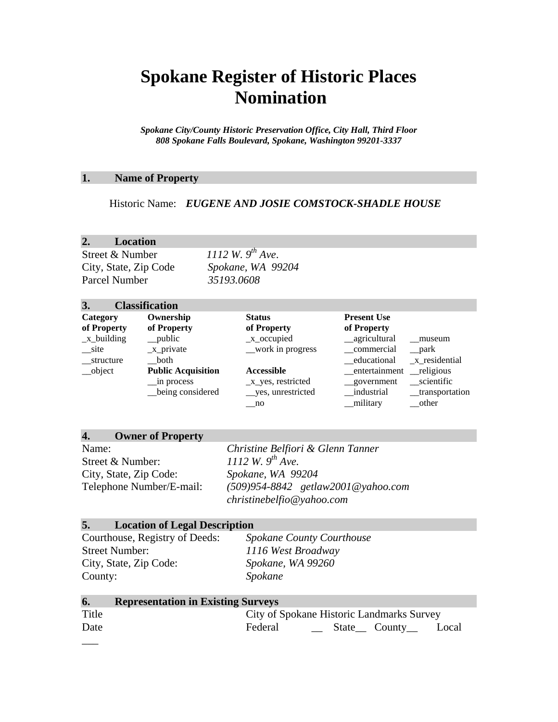# **Spokane Register of Historic Places Nomination**

*Spokane City/County Historic Preservation Office, City Hall, Third Floor 808 Spokane Falls Boulevard, Spokane, Washington 99201-3337*

# **1. Name of Property**

Historic Name: *EUGENE AND JOSIE COMSTOCK-SHADLE HOUSE*

# **2. Location**

Parcel Number *35193.0608*

Street & Number *1112 W. 9th Ave*. City, State, Zip Code *Spokane, WA 99204*

| 3.                                                    | <b>Classification</b>                                                                                |                                                                                                                |                                                                                                         |                                                                        |
|-------------------------------------------------------|------------------------------------------------------------------------------------------------------|----------------------------------------------------------------------------------------------------------------|---------------------------------------------------------------------------------------------------------|------------------------------------------------------------------------|
| Category<br>of Property                               | Ownership<br>of Property                                                                             | <b>Status</b><br>of Property                                                                                   | <b>Present Use</b><br>of Property                                                                       |                                                                        |
| $x_b$ building<br>site<br>structure<br>$\omega$ bject | $\_\_public$<br>$_x$ -private<br>both<br><b>Public Acquisition</b><br>in process<br>being considered | $_{\rm X\_occupied}$<br>_work in progress<br><b>Accessible</b><br>$_x$ yes, restricted<br>__ yes, unrestricted | __agricultural<br>commercial<br>educational<br>__entertainment ___religious<br>government<br>industrial | museum<br>$\_park$<br>$x$ residential<br>scientific<br>_transportation |
|                                                       |                                                                                                      | $\mathbf{n}$                                                                                                   | military                                                                                                | other                                                                  |

| Name:                    | Christine Belfiori & Glenn Tanner       |
|--------------------------|-----------------------------------------|
| Street & Number:         | 1112 W. $9^{th}$ Ave.                   |
| City, State, Zip Code:   | Spokane, WA 99204                       |
| Telephone Number/E-mail: | $(509)954 - 8842$ getlaw 2001@yahoo.com |
|                          | christinebelfio@yahoo.com               |

# **5. Location of Legal Description**

Street Number: *1116 West Broadway* City, State, Zip Code: *Spokane, WA 99260* County: *Spokane*

**4. Owner of Property**

Courthouse, Registry of Deeds: *Spokane County Courthouse*

| 6.    | <b>Representation in Existing Surveys</b> |
|-------|-------------------------------------------|
| Title | City of Spokane Historic Landmarks Survey |
| Date  | Federal<br>$\angle$ State County<br>Local |
|       |                                           |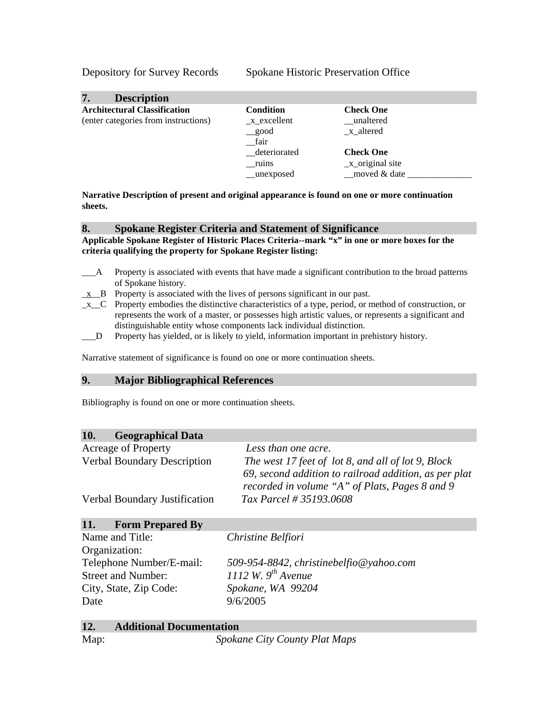Depository for Survey Records Spokane Historic Preservation Office

| 7.<br><b>Description</b>                                                    |                                                     |                                                         |
|-----------------------------------------------------------------------------|-----------------------------------------------------|---------------------------------------------------------|
| <b>Architectural Classification</b><br>(enter categories from instructions) | <b>Condition</b><br>$_x$ excellent<br>_good<br>fair | <b>Check One</b><br>unaltered<br>x altered              |
|                                                                             | deteriorated<br>ruins<br>__unexposed                | <b>Check One</b><br>$_x$ -original site<br>moved & date |

**Narrative Description of present and original appearance is found on one or more continuation sheets.** 

#### **8. Spokane Register Criteria and Statement of Significance**

**Applicable Spokane Register of Historic Places Criteria--mark "x" in one or more boxes for the criteria qualifying the property for Spokane Register listing:**

- \_\_\_A Property is associated with events that have made a significant contribution to the broad patterns of Spokane history.
- $\underline{x}$  B Property is associated with the lives of persons significant in our past.
- $\mathbf{x}$  C Property embodies the distinctive characteristics of a type, period, or method of construction, or represents the work of a master, or possesses high artistic values, or represents a significant and distinguishable entity whose components lack individual distinction.
- \_\_\_D Property has yielded, or is likely to yield, information important in prehistory history.

Narrative statement of significance is found on one or more continuation sheets.

#### **9. Major Bibliographical References**

Bibliography is found on one or more continuation sheets.

# **10. Geographical Data**

| <b>Acreage of Property</b>         | Less than one acre.                                   |
|------------------------------------|-------------------------------------------------------|
| <b>Verbal Boundary Description</b> | The west 17 feet of lot 8, and all of lot 9, Block    |
|                                    | 69, second addition to railroad addition, as per plat |
|                                    | recorded in volume "A" of Plats, Pages 8 and 9        |
| Verbal Boundary Justification      | Tax Parcel # 35193.0608                               |
|                                    |                                                       |

# **11. Form Prepared By**

| Name and Title:           | Christine Belfiori                      |
|---------------------------|-----------------------------------------|
| Organization:             |                                         |
| Telephone Number/E-mail:  | 509-954-8842, christinebelfio@yahoo.com |
| <b>Street and Number:</b> | 1112 W. $9^{th}$ Avenue                 |
| City, State, Zip Code:    | Spokane, WA 99204                       |
| Date                      | 9/6/2005                                |

| 12.  | <b>Additional Documentation</b> |
|------|---------------------------------|
| Map: | Spokane City County Plat Maps   |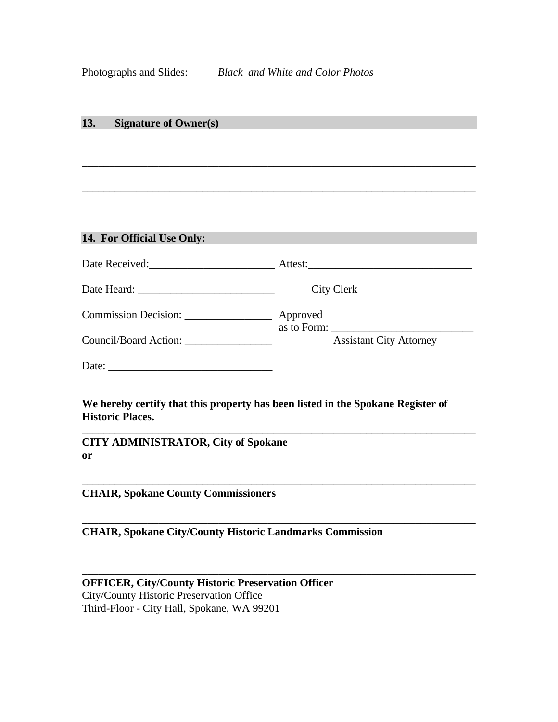### **13. Signature of Owner(s)**

# **14. For Official Use Only:** Date Received:\_\_\_\_\_\_\_\_\_\_\_\_\_\_\_\_\_\_\_\_\_\_\_ Attest:\_\_\_\_\_\_\_\_\_\_\_\_\_\_\_\_\_\_\_\_\_\_\_\_\_\_\_\_\_\_ Date Heard: \_\_\_\_\_\_\_\_\_\_\_\_\_\_\_\_\_\_\_\_\_\_\_\_\_ City Clerk Commission Decision: \_\_\_\_\_\_\_\_\_\_\_\_\_\_\_\_ Approved as to Form: Council/Board Action: \_\_\_\_\_\_\_\_\_\_\_\_\_\_\_\_ Assistant City Attorney Date: \_\_\_\_\_\_\_\_\_\_\_\_\_\_\_\_\_\_\_\_\_\_\_\_\_\_\_\_\_\_

\_\_\_\_\_\_\_\_\_\_\_\_\_\_\_\_\_\_\_\_\_\_\_\_\_\_\_\_\_\_\_\_\_\_\_\_\_\_\_\_\_\_\_\_\_\_\_\_\_\_\_\_\_\_\_\_\_\_\_\_\_\_\_\_\_\_\_\_\_\_\_\_

\_\_\_\_\_\_\_\_\_\_\_\_\_\_\_\_\_\_\_\_\_\_\_\_\_\_\_\_\_\_\_\_\_\_\_\_\_\_\_\_\_\_\_\_\_\_\_\_\_\_\_\_\_\_\_\_\_\_\_\_\_\_\_\_\_\_\_\_\_\_\_\_

**We hereby certify that this property has been listed in the Spokane Register of Historic Places.**

\_\_\_\_\_\_\_\_\_\_\_\_\_\_\_\_\_\_\_\_\_\_\_\_\_\_\_\_\_\_\_\_\_\_\_\_\_\_\_\_\_\_\_\_\_\_\_\_\_\_\_\_\_\_\_\_\_\_\_\_\_\_\_\_\_\_\_\_\_\_\_\_

\_\_\_\_\_\_\_\_\_\_\_\_\_\_\_\_\_\_\_\_\_\_\_\_\_\_\_\_\_\_\_\_\_\_\_\_\_\_\_\_\_\_\_\_\_\_\_\_\_\_\_\_\_\_\_\_\_\_\_\_\_\_\_\_\_\_\_\_\_\_\_\_

\_\_\_\_\_\_\_\_\_\_\_\_\_\_\_\_\_\_\_\_\_\_\_\_\_\_\_\_\_\_\_\_\_\_\_\_\_\_\_\_\_\_\_\_\_\_\_\_\_\_\_\_\_\_\_\_\_\_\_\_\_\_\_\_\_\_\_\_\_\_\_\_

\_\_\_\_\_\_\_\_\_\_\_\_\_\_\_\_\_\_\_\_\_\_\_\_\_\_\_\_\_\_\_\_\_\_\_\_\_\_\_\_\_\_\_\_\_\_\_\_\_\_\_\_\_\_\_\_\_\_\_\_\_\_\_\_\_\_\_\_\_\_\_\_

**CITY ADMINISTRATOR, City of Spokane or**

**CHAIR, Spokane County Commissioners**

**CHAIR, Spokane City/County Historic Landmarks Commission**

| <b>OFFICER, City/County Historic Preservation Officer</b> |
|-----------------------------------------------------------|
| City/County Historic Preservation Office                  |
| Third-Floor - City Hall, Spokane, WA 99201                |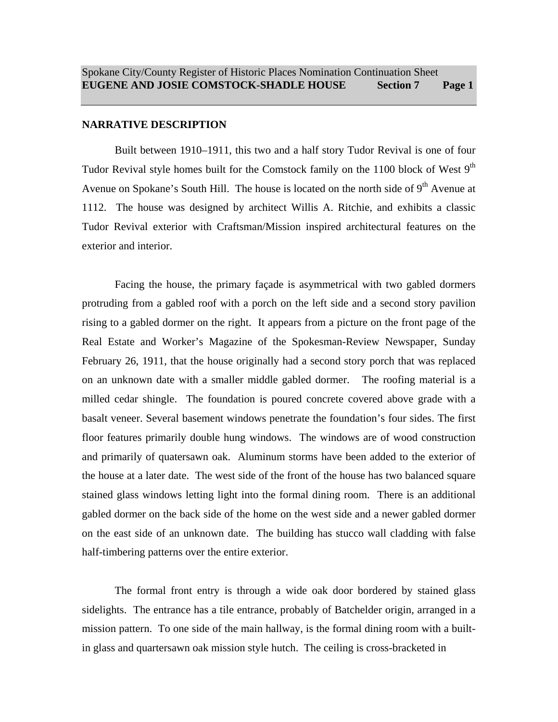#### **NARRATIVE DESCRIPTION**

Built between 1910–1911, this two and a half story Tudor Revival is one of four Tudor Revival style homes built for the Comstock family on the 1100 block of West  $9<sup>th</sup>$ Avenue on Spokane's South Hill. The house is located on the north side of  $9<sup>th</sup>$  Avenue at 1112. The house was designed by architect Willis A. Ritchie, and exhibits a classic Tudor Revival exterior with Craftsman/Mission inspired architectural features on the exterior and interior.

Facing the house, the primary façade is asymmetrical with two gabled dormers protruding from a gabled roof with a porch on the left side and a second story pavilion rising to a gabled dormer on the right. It appears from a picture on the front page of the Real Estate and Worker's Magazine of the Spokesman-Review Newspaper, Sunday February 26, 1911, that the house originally had a second story porch that was replaced on an unknown date with a smaller middle gabled dormer. The roofing material is a milled cedar shingle. The foundation is poured concrete covered above grade with a basalt veneer. Several basement windows penetrate the foundation's four sides. The first floor features primarily double hung windows. The windows are of wood construction and primarily of quatersawn oak. Aluminum storms have been added to the exterior of the house at a later date. The west side of the front of the house has two balanced square stained glass windows letting light into the formal dining room. There is an additional gabled dormer on the back side of the home on the west side and a newer gabled dormer on the east side of an unknown date. The building has stucco wall cladding with false half-timbering patterns over the entire exterior.

The formal front entry is through a wide oak door bordered by stained glass sidelights. The entrance has a tile entrance, probably of Batchelder origin, arranged in a mission pattern. To one side of the main hallway, is the formal dining room with a builtin glass and quartersawn oak mission style hutch. The ceiling is cross-bracketed in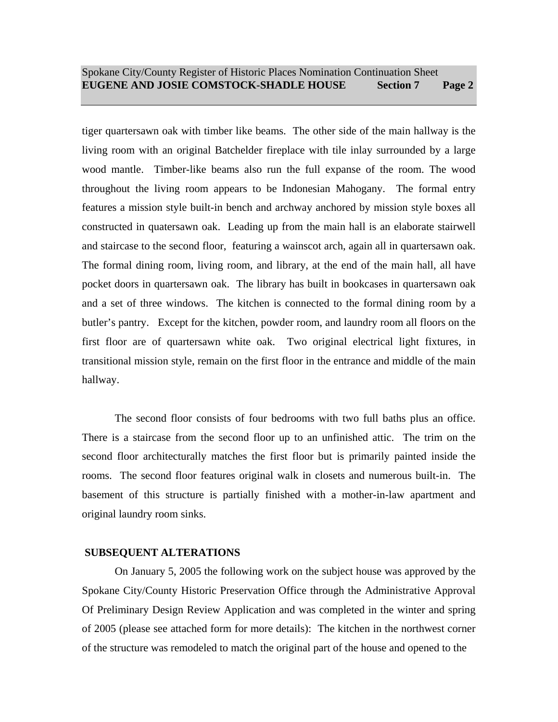tiger quartersawn oak with timber like beams. The other side of the main hallway is the living room with an original Batchelder fireplace with tile inlay surrounded by a large wood mantle. Timber-like beams also run the full expanse of the room. The wood throughout the living room appears to be Indonesian Mahogany. The formal entry features a mission style built-in bench and archway anchored by mission style boxes all constructed in quatersawn oak. Leading up from the main hall is an elaborate stairwell and staircase to the second floor, featuring a wainscot arch, again all in quartersawn oak. The formal dining room, living room, and library, at the end of the main hall, all have pocket doors in quartersawn oak. The library has built in bookcases in quartersawn oak and a set of three windows. The kitchen is connected to the formal dining room by a butler's pantry. Except for the kitchen, powder room, and laundry room all floors on the first floor are of quartersawn white oak. Two original electrical light fixtures, in transitional mission style, remain on the first floor in the entrance and middle of the main hallway.

The second floor consists of four bedrooms with two full baths plus an office. There is a staircase from the second floor up to an unfinished attic. The trim on the second floor architecturally matches the first floor but is primarily painted inside the rooms. The second floor features original walk in closets and numerous built-in. The basement of this structure is partially finished with a mother-in-law apartment and original laundry room sinks.

#### **SUBSEQUENT ALTERATIONS**

On January 5, 2005 the following work on the subject house was approved by the Spokane City/County Historic Preservation Office through the Administrative Approval Of Preliminary Design Review Application and was completed in the winter and spring of 2005 (please see attached form for more details): The kitchen in the northwest corner of the structure was remodeled to match the original part of the house and opened to the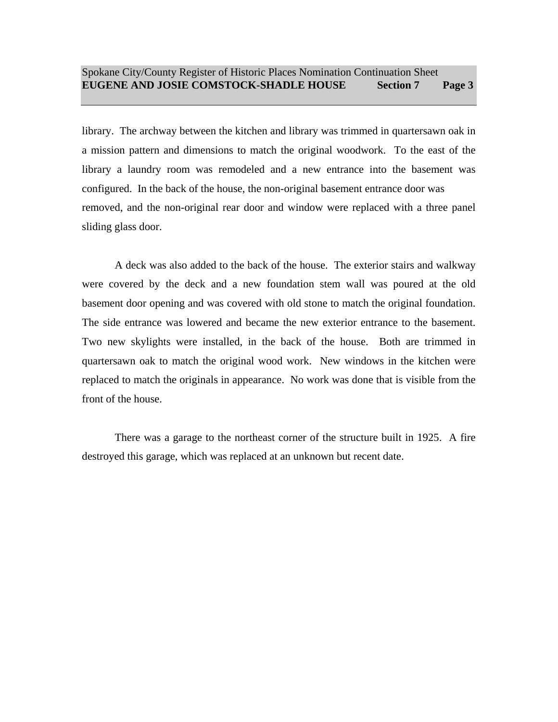library. The archway between the kitchen and library was trimmed in quartersawn oak in a mission pattern and dimensions to match the original woodwork. To the east of the library a laundry room was remodeled and a new entrance into the basement was configured. In the back of the house, the non-original basement entrance door was removed, and the non-original rear door and window were replaced with a three panel sliding glass door.

A deck was also added to the back of the house. The exterior stairs and walkway were covered by the deck and a new foundation stem wall was poured at the old basement door opening and was covered with old stone to match the original foundation. The side entrance was lowered and became the new exterior entrance to the basement. Two new skylights were installed, in the back of the house. Both are trimmed in quartersawn oak to match the original wood work. New windows in the kitchen were replaced to match the originals in appearance. No work was done that is visible from the front of the house.

There was a garage to the northeast corner of the structure built in 1925. A fire destroyed this garage, which was replaced at an unknown but recent date.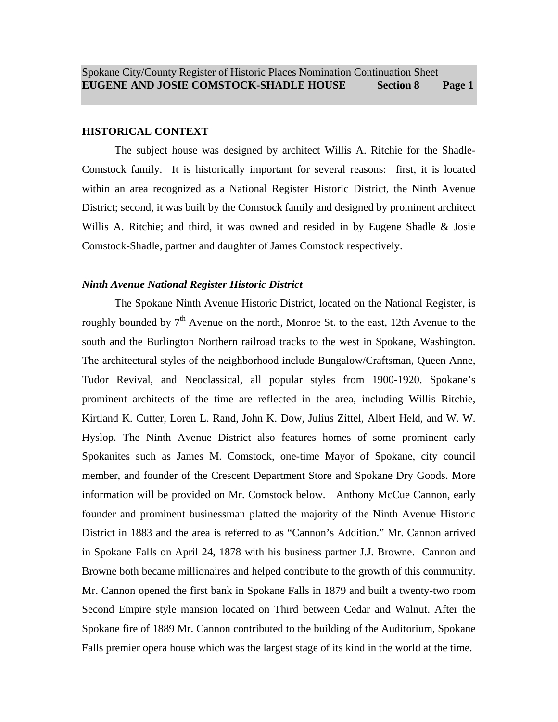#### **HISTORICAL CONTEXT**

The subject house was designed by architect Willis A. Ritchie for the Shadle-Comstock family. It is historically important for several reasons: first, it is located within an area recognized as a National Register Historic District, the Ninth Avenue District; second, it was built by the Comstock family and designed by prominent architect Willis A. Ritchie; and third, it was owned and resided in by Eugene Shadle & Josie Comstock-Shadle, partner and daughter of James Comstock respectively.

#### *Ninth Avenue National Register Historic District*

The Spokane Ninth Avenue Historic District, located on the National Register, is roughly bounded by  $7<sup>th</sup>$  Avenue on the north, Monroe St. to the east, 12th Avenue to the south and the Burlington Northern railroad tracks to the west in Spokane, Washington. The architectural styles of the neighborhood include Bungalow/Craftsman, Queen Anne, Tudor Revival, and Neoclassical, all popular styles from 1900-1920. Spokane's prominent architects of the time are reflected in the area, including Willis Ritchie, Kirtland K. Cutter, Loren L. Rand, John K. Dow, Julius Zittel, Albert Held, and W. W. Hyslop. The Ninth Avenue District also features homes of some prominent early Spokanites such as James M. Comstock, one-time Mayor of Spokane, city council member, and founder of the Crescent Department Store and Spokane Dry Goods. More information will be provided on Mr. Comstock below. Anthony McCue Cannon, early founder and prominent businessman platted the majority of the Ninth Avenue Historic District in 1883 and the area is referred to as "Cannon's Addition." Mr. Cannon arrived in Spokane Falls on April 24, 1878 with his business partner J.J. Browne. Cannon and Browne both became millionaires and helped contribute to the growth of this community. Mr. Cannon opened the first bank in Spokane Falls in 1879 and built a twenty-two room Second Empire style mansion located on Third between Cedar and Walnut. After the Spokane fire of 1889 Mr. Cannon contributed to the building of the Auditorium, Spokane Falls premier opera house which was the largest stage of its kind in the world at the time.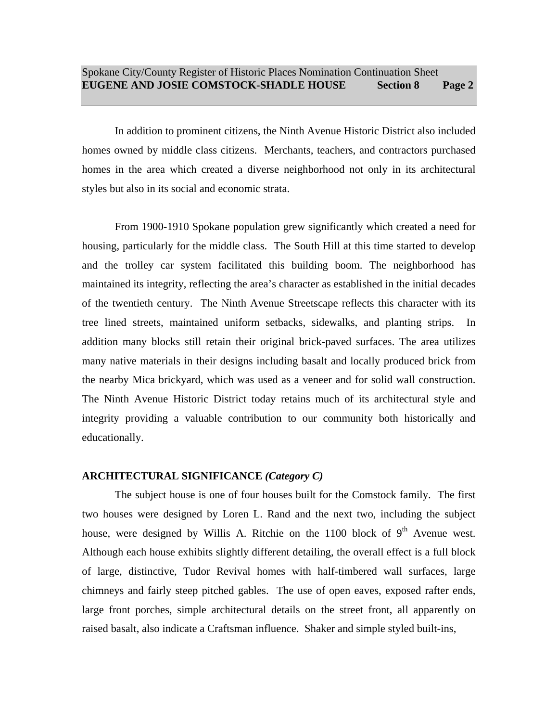In addition to prominent citizens, the Ninth Avenue Historic District also included homes owned by middle class citizens. Merchants, teachers, and contractors purchased homes in the area which created a diverse neighborhood not only in its architectural styles but also in its social and economic strata.

From 1900-1910 Spokane population grew significantly which created a need for housing, particularly for the middle class. The South Hill at this time started to develop and the trolley car system facilitated this building boom. The neighborhood has maintained its integrity, reflecting the area's character as established in the initial decades of the twentieth century. The Ninth Avenue Streetscape reflects this character with its tree lined streets, maintained uniform setbacks, sidewalks, and planting strips. In addition many blocks still retain their original brick-paved surfaces. The area utilizes many native materials in their designs including basalt and locally produced brick from the nearby Mica brickyard, which was used as a veneer and for solid wall construction. The Ninth Avenue Historic District today retains much of its architectural style and integrity providing a valuable contribution to our community both historically and educationally.

#### **ARCHITECTURAL SIGNIFICANCE** *(Category C)*

The subject house is one of four houses built for the Comstock family. The first two houses were designed by Loren L. Rand and the next two, including the subject house, were designed by Willis A. Ritchie on the 1100 block of  $9<sup>th</sup>$  Avenue west. Although each house exhibits slightly different detailing, the overall effect is a full block of large, distinctive, Tudor Revival homes with half-timbered wall surfaces, large chimneys and fairly steep pitched gables. The use of open eaves, exposed rafter ends, large front porches, simple architectural details on the street front, all apparently on raised basalt, also indicate a Craftsman influence. Shaker and simple styled built-ins,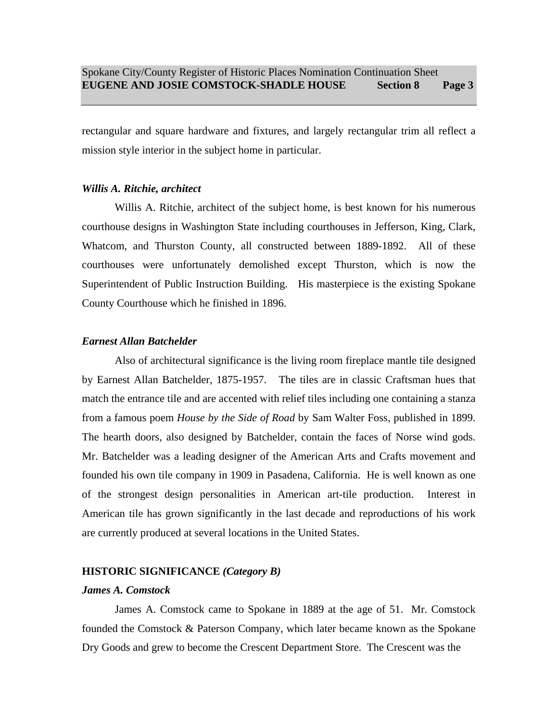rectangular and square hardware and fixtures, and largely rectangular trim all reflect a mission style interior in the subject home in particular.

#### *Willis A. Ritchie, architect*

Willis A. Ritchie, architect of the subject home, is best known for his numerous courthouse designs in Washington State including courthouses in Jefferson, King, Clark, Whatcom, and Thurston County, all constructed between 1889-1892. All of these courthouses were unfortunately demolished except Thurston, which is now the Superintendent of Public Instruction Building. His masterpiece is the existing Spokane County Courthouse which he finished in 1896.

#### *Earnest Allan Batchelder*

Also of architectural significance is the living room fireplace mantle tile designed by Earnest Allan Batchelder, 1875-1957. The tiles are in classic Craftsman hues that match the entrance tile and are accented with relief tiles including one containing a stanza from a famous poem *House by the Side of Road* by Sam Walter Foss, published in 1899. The hearth doors, also designed by Batchelder, contain the faces of Norse wind gods. Mr. Batchelder was a leading designer of the American Arts and Crafts movement and founded his own tile company in 1909 in Pasadena, California. He is well known as one of the strongest design personalities in American art-tile production. Interest in American tile has grown significantly in the last decade and reproductions of his work are currently produced at several locations in the United States.

#### **HISTORIC SIGNIFICANCE** *(Category B)*

#### *James A. Comstock*

James A. Comstock came to Spokane in 1889 at the age of 51. Mr. Comstock founded the Comstock & Paterson Company, which later became known as the Spokane Dry Goods and grew to become the Crescent Department Store. The Crescent was the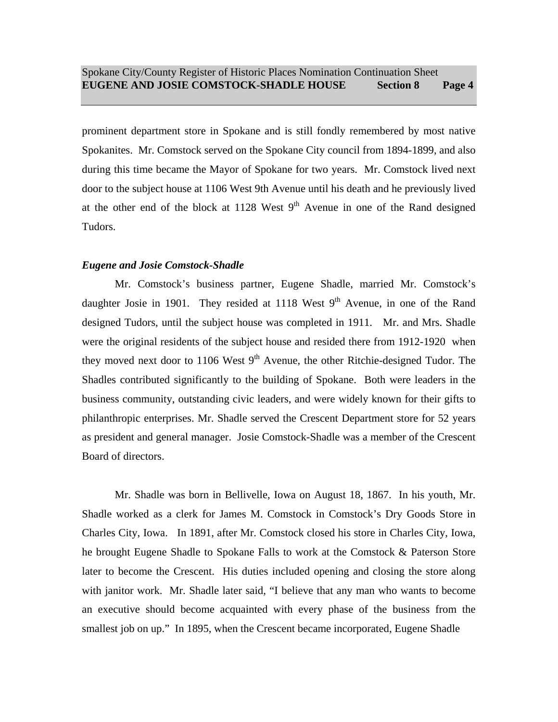prominent department store in Spokane and is still fondly remembered by most native Spokanites. Mr. Comstock served on the Spokane City council from 1894-1899, and also during this time became the Mayor of Spokane for two years. Mr. Comstock lived next door to the subject house at 1106 West 9th Avenue until his death and he previously lived at the other end of the block at 1128 West  $9<sup>th</sup>$  Avenue in one of the Rand designed Tudors.

### *Eugene and Josie Comstock-Shadle*

Mr. Comstock's business partner, Eugene Shadle, married Mr. Comstock's daughter Josie in 1901. They resided at 1118 West  $9<sup>th</sup>$  Avenue, in one of the Rand designed Tudors, until the subject house was completed in 1911. Mr. and Mrs. Shadle were the original residents of the subject house and resided there from 1912-1920 when they moved next door to 1106 West  $9<sup>th</sup>$  Avenue, the other Ritchie-designed Tudor. The Shadles contributed significantly to the building of Spokane. Both were leaders in the business community, outstanding civic leaders, and were widely known for their gifts to philanthropic enterprises. Mr. Shadle served the Crescent Department store for 52 years as president and general manager. Josie Comstock-Shadle was a member of the Crescent Board of directors.

Mr. Shadle was born in Bellivelle, Iowa on August 18, 1867. In his youth, Mr. Shadle worked as a clerk for James M. Comstock in Comstock's Dry Goods Store in Charles City, Iowa. In 1891, after Mr. Comstock closed his store in Charles City, Iowa, he brought Eugene Shadle to Spokane Falls to work at the Comstock & Paterson Store later to become the Crescent. His duties included opening and closing the store along with janitor work. Mr. Shadle later said, "I believe that any man who wants to become an executive should become acquainted with every phase of the business from the smallest job on up." In 1895, when the Crescent became incorporated, Eugene Shadle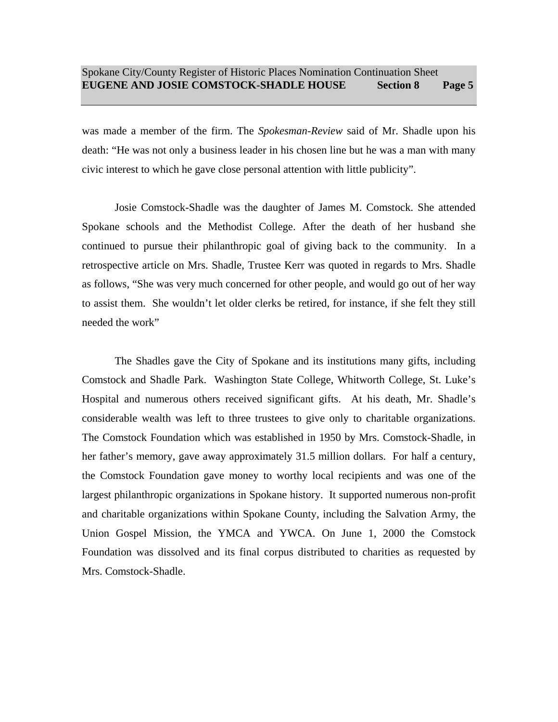was made a member of the firm. The *Spokesman-Review* said of Mr. Shadle upon his death: "He was not only a business leader in his chosen line but he was a man with many civic interest to which he gave close personal attention with little publicity".

Josie Comstock-Shadle was the daughter of James M. Comstock. She attended Spokane schools and the Methodist College. After the death of her husband she continued to pursue their philanthropic goal of giving back to the community. In a retrospective article on Mrs. Shadle, Trustee Kerr was quoted in regards to Mrs. Shadle as follows, "She was very much concerned for other people, and would go out of her way to assist them. She wouldn't let older clerks be retired, for instance, if she felt they still needed the work"

The Shadles gave the City of Spokane and its institutions many gifts, including Comstock and Shadle Park. Washington State College, Whitworth College, St. Luke's Hospital and numerous others received significant gifts. At his death, Mr. Shadle's considerable wealth was left to three trustees to give only to charitable organizations. The Comstock Foundation which was established in 1950 by Mrs. Comstock-Shadle, in her father's memory, gave away approximately 31.5 million dollars. For half a century, the Comstock Foundation gave money to worthy local recipients and was one of the largest philanthropic organizations in Spokane history. It supported numerous non-profit and charitable organizations within Spokane County, including the Salvation Army, the Union Gospel Mission, the YMCA and YWCA. On June 1, 2000 the Comstock Foundation was dissolved and its final corpus distributed to charities as requested by Mrs. Comstock-Shadle.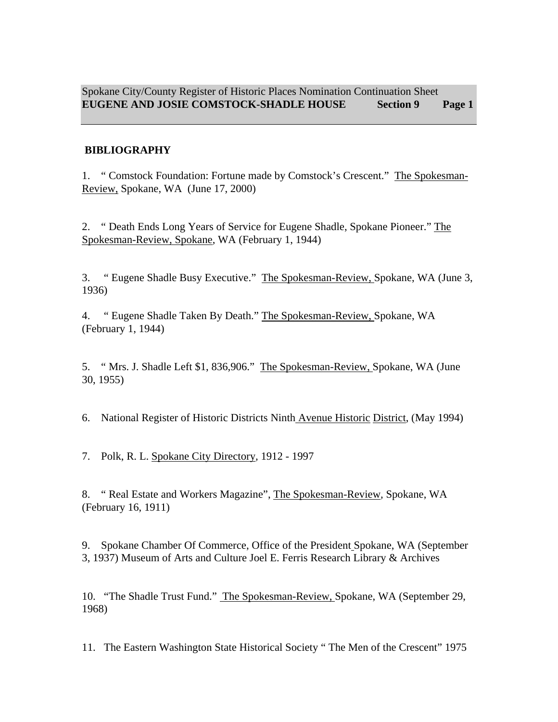# **BIBLIOGRAPHY**

1. " Comstock Foundation: Fortune made by Comstock's Crescent." The Spokesman-Review, Spokane, WA (June 17, 2000)

2. " Death Ends Long Years of Service for Eugene Shadle, Spokane Pioneer." The Spokesman-Review, Spokane, WA (February 1, 1944)

3. " Eugene Shadle Busy Executive." The Spokesman-Review, Spokane, WA (June 3, 1936)

4. " Eugene Shadle Taken By Death." The Spokesman-Review, Spokane, WA (February 1, 1944)

5. " Mrs. J. Shadle Left \$1, 836,906." The Spokesman-Review, Spokane, WA (June 30, 1955)

6. National Register of Historic Districts Ninth Avenue Historic District, (May 1994)

7. Polk, R. L. Spokane City Directory*,* 1912 - 1997

8. " Real Estate and Workers Magazine", The Spokesman-Review*,* Spokane, WA (February 16, 1911)

9. Spokane Chamber Of Commerce, Office of the President Spokane, WA (September 3, 1937) Museum of Arts and Culture Joel E. Ferris Research Library & Archives

10. "The Shadle Trust Fund." The Spokesman-Review, Spokane, WA (September 29, 1968)

11. The Eastern Washington State Historical Society " The Men of the Crescent" 1975